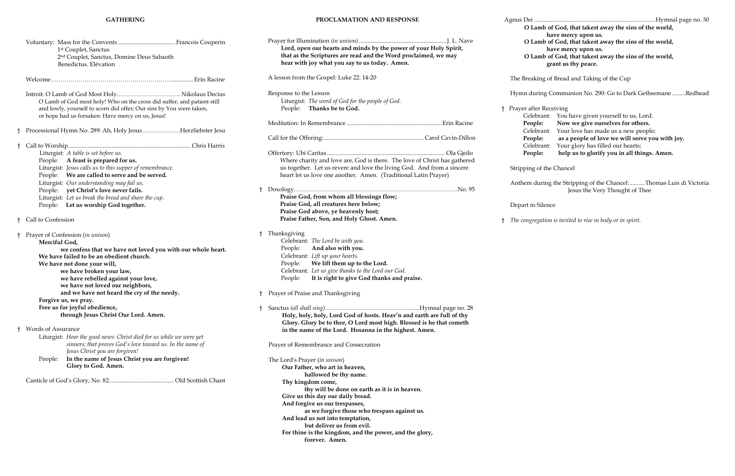## **GATHERING**

|    | 1 <sup>st</sup> Couplet, Sanctus<br>2 <sup>nd</sup> Couplet, Sanctus, Domine Deus Sabaoth<br>Benedictus. Elévation                                                                                                                                                                    |    | Prayer for Illum<br>Lord, oper<br>that as the<br>hear with                              |
|----|---------------------------------------------------------------------------------------------------------------------------------------------------------------------------------------------------------------------------------------------------------------------------------------|----|-----------------------------------------------------------------------------------------|
|    |                                                                                                                                                                                                                                                                                       |    | A lesson from th                                                                        |
|    | O Lamb of God most holy! Who on the cross did suffer, and patient still<br>and lowly, yourself to scorn did offer; Our sins by You were taken,<br>or hope had us forsaken: Have mercy on us, Jesus!                                                                                   |    | Response to the<br>Liturgist:<br>People:                                                |
| t. | Processional Hymn No. 289: Ah, Holy JesusHerzliebster Jesu                                                                                                                                                                                                                            |    | Meditation: In I                                                                        |
|    |                                                                                                                                                                                                                                                                                       |    | Call for the Offe                                                                       |
| t  | Liturgist: A table is set before us.<br>A feast is prepared for us.<br>People:<br>Liturgist: Jesus calls us to this supper of remembrance.<br>People: We are called to serve and be served.<br>Liturgist: Our understanding may fail us,<br>yet Christ's love never fails.<br>People: |    | Offertory: Ubi 0<br>Where chai<br>us together<br>heart let us<br>† Doxology             |
| t  | Liturgist: Let us break the bread and share the cup.<br>People: Let us worship God together.<br>Call to Confession                                                                                                                                                                    |    | Praise God<br><b>Praise God</b><br>Praise God<br>Praise Fath                            |
| t  | Prayer of Confession (in unison)<br>Merciful God,<br>we confess that we have not loved you with our whole heart.<br>We have failed to be an obedient church.<br>We have not done your will,<br>we have broken your law,<br>we have rebelled against your love,                        | t  | Thanksgiving<br>Celebrant:<br>People:<br>Celebrant:<br>People:<br>Celebrant:<br>People: |
|    | we have not loved our neighbors,<br>and we have not heard the cry of the needy.                                                                                                                                                                                                       | Ť. | Prayer of Praise                                                                        |
|    | Forgive us, we pray.<br>Free us for joyful obedience,<br>through Jesus Christ Our Lord. Amen.                                                                                                                                                                                         | Ť  | Sanctus (all shal<br>Holy, holy<br>Glory. Glo                                           |
| t  | <b>Words of Assurance</b><br>Liturgist: Hear the good news: Christ died for us while we were yet<br>sinners; that proves God's love toward us. In the name of                                                                                                                         |    | in the nan<br>Prayer of Reme                                                            |
|    | Jesus Christ you are forgiven!<br>In the name of Jesus Christ you are forgiven!<br>People:<br>Glory to God. Amen.                                                                                                                                                                     |    | The Lord's Pray<br>Our Fathe                                                            |
|    |                                                                                                                                                                                                                                                                                       |    | h<br>Thy kingd<br>th                                                                    |
|    |                                                                                                                                                                                                                                                                                       |    | Give us th<br>$A = A$ formal.                                                           |

yer (*in unison*) **Our Father, who art in heaven, hallowed be thy name.** dom come,  **thy will be done on earth as it is in heaven. Give us this day our daily bread. And forgive us our trespasses, as we forgive those who trespass against us. And lead us not into temptation, but deliver us from evil. For thine is the kingdom, and the power, and the glory, forever. Amen.**

ring the Stripping of the Chancel:..........Thomas Luis di Victoria Jesus the Very Thought of Thee

## ilence

|   | PROCLAMATION AND RESPONSE                                                                                                                                                                                              | Agnus Dei<br>O Lamb of God                               |
|---|------------------------------------------------------------------------------------------------------------------------------------------------------------------------------------------------------------------------|----------------------------------------------------------|
|   | Lord, open our hearts and minds by the power of your Holy Spirit,                                                                                                                                                      | have me<br>O Lamb of God<br>have me                      |
|   | that as the Scriptures are read and the Word proclaimed, we may<br>hear with joy what you say to us today. Amen.                                                                                                       | O Lamb of God<br>grant us                                |
|   | A lesson from the Gospel: Luke 22: 14-20                                                                                                                                                                               | The Breaking of Bread                                    |
|   | Response to the Lesson<br>Liturgist: The word of God for the people of God.                                                                                                                                            | Hymn during Comm                                         |
|   | Thanks be to God.<br>People:                                                                                                                                                                                           | † Prayer after Receiving                                 |
|   |                                                                                                                                                                                                                        | Celebrant:<br>You<br>People:<br>Nov<br>Celebrant:<br>You |
|   |                                                                                                                                                                                                                        | People:<br>as a<br>Celebrant:<br>You                     |
|   |                                                                                                                                                                                                                        | People:<br>hel                                           |
|   | Where charity and love are, God is there. The love of Christ has gathered<br>us together. Let us revere and love the living God. And from a sincere<br>heart let us love one another. Amen. (Traditional Latin Prayer) | Stripping of the Chan                                    |
|   |                                                                                                                                                                                                                        | Anthem during the St                                     |
| t | Praise God, from whom all blessings flow;                                                                                                                                                                              |                                                          |
|   | Praise God, all creatures here below;                                                                                                                                                                                  | Depart in Silence                                        |
|   | Praise God above, ye heavenly host;                                                                                                                                                                                    |                                                          |
|   | Praise Father, Son, and Holy Ghost. Amen.                                                                                                                                                                              | The congregation is invi<br>Ť.                           |
| t | Thanksgiving<br>Celebrant: The Lord be with you.                                                                                                                                                                       |                                                          |
|   | And also with you.<br>People:                                                                                                                                                                                          |                                                          |
|   | Celebrant: Lift up your hearts.                                                                                                                                                                                        |                                                          |
|   | We lift them up to the Lord.<br>People:                                                                                                                                                                                |                                                          |
|   | Celebrant: Let us give thanks to the Lord our God.                                                                                                                                                                     |                                                          |
|   | It is right to give God thanks and praise.<br>People:                                                                                                                                                                  |                                                          |
|   | † Prayer of Praise and Thanksgiving                                                                                                                                                                                    |                                                          |
|   | Holy, holy, holy, Lord God of hosts. Heav'n and earth are full of thy<br>Glory. Glory be to thee, O Lord most high. Blessed is he that cometh<br>in the name of the Lord. Hosanna in the highest. Amen.                |                                                          |
|   | Prayer of Remembrance and Consecration                                                                                                                                                                                 |                                                          |

| Agnus Dei                                                                                                                                                                                                                                                                                                                                                                                    | Hymnal page no. 30<br>O Lamb of God, that takest away the sins of the world,<br>have mercy upon us.<br>O Lamb of God, that takest away the sins of the world,<br>have mercy upon us.<br>O Lamb of God, that takest away the sins of the world,<br>grant us thy peace. |  |  |  |
|----------------------------------------------------------------------------------------------------------------------------------------------------------------------------------------------------------------------------------------------------------------------------------------------------------------------------------------------------------------------------------------------|-----------------------------------------------------------------------------------------------------------------------------------------------------------------------------------------------------------------------------------------------------------------------|--|--|--|
| The Breaking of Bread and Taking of the Cup                                                                                                                                                                                                                                                                                                                                                  |                                                                                                                                                                                                                                                                       |  |  |  |
|                                                                                                                                                                                                                                                                                                                                                                                              | Hymn during Communion No. 290: Go to Dark Gethsemane Redhead                                                                                                                                                                                                          |  |  |  |
| Prayer after Receiving<br>t                                                                                                                                                                                                                                                                                                                                                                  |                                                                                                                                                                                                                                                                       |  |  |  |
|                                                                                                                                                                                                                                                                                                                                                                                              | Celebrant: You have given yourself to us, Lord.                                                                                                                                                                                                                       |  |  |  |
|                                                                                                                                                                                                                                                                                                                                                                                              | People: Now we give ourselves for others.                                                                                                                                                                                                                             |  |  |  |
|                                                                                                                                                                                                                                                                                                                                                                                              | Celebrant: Your love has made us a new people;                                                                                                                                                                                                                        |  |  |  |
|                                                                                                                                                                                                                                                                                                                                                                                              | People: as a people of love we will serve you with joy.                                                                                                                                                                                                               |  |  |  |
|                                                                                                                                                                                                                                                                                                                                                                                              | Celebrant: Your glory has filled our hearts;                                                                                                                                                                                                                          |  |  |  |
| People:                                                                                                                                                                                                                                                                                                                                                                                      | help us to glorify you in all things. Amen.                                                                                                                                                                                                                           |  |  |  |
| Stripping of the Chancel                                                                                                                                                                                                                                                                                                                                                                     |                                                                                                                                                                                                                                                                       |  |  |  |
| $\lambda$ and a second second contract the contract of the contract of $\alpha$<br>$\mathbf{T}^{\bullet}\mathbf{1}_{\mathbf{1}}$ , and a set of $\mathbf{T}$ , and a set of $\mathbf{T}$ , and $\mathbf{T}^{\bullet}\mathbf{1}_{\mathbf{1}}$ , $\mathbf{T}^{\bullet}\mathbf{1}_{\mathbf{1}}$ , $\mathbf{T}^{\bullet}\mathbf{1}_{\mathbf{1}}$ , $\mathbf{T}^{\bullet}\mathbf{1}_{\mathbf{1}}$ |                                                                                                                                                                                                                                                                       |  |  |  |

† *The congregation is invited to rise in body or in spirit.*